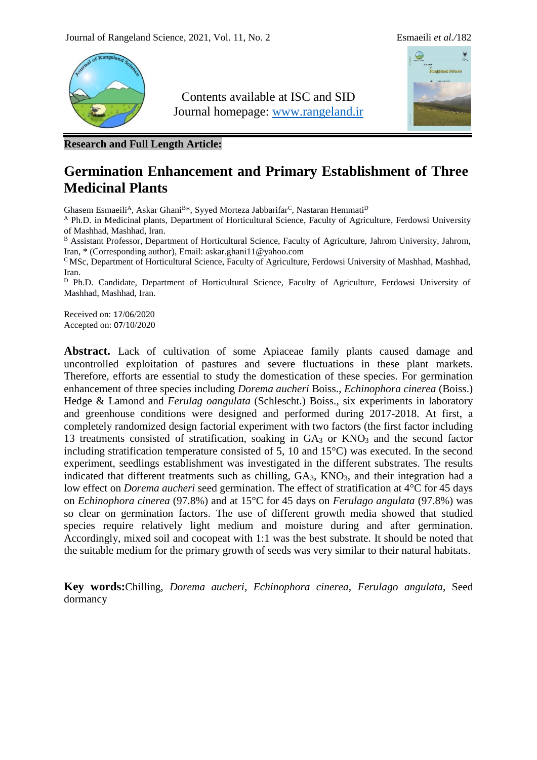

Contents available at ISC and SID Journal homepage: [www.rangeland.ir](http://www.rangeland.ir/)



**Research and Full Length Article:**

# **Germination Enhancement and Primary Establishment of Three Medicinal Plants**

Ghasem Esmaeili<sup>A</sup>, Askar Ghani<sup>B\*</sup>, Syyed Morteza Jabbarifar<sup>C</sup>, Nastaran Hemmati<sup>D</sup>

<sup>A</sup> Ph.D. in Medicinal plants, Department of Horticultural Science, Faculty of Agriculture, Ferdowsi University of Mashhad, Mashhad, Iran.

B Assistant Professor, Department of Horticultural Science, Faculty of Agriculture, Jahrom University, Jahrom, Iran, \* (Corresponding author), Email: [askar.ghani11@yahoo.com](mailto:askar.ghani11@yahoo.com)

<sup>C</sup> MSc, Department of Horticultural Science, Faculty of Agriculture, Ferdowsi University of Mashhad, Mashhad, Iran.

<sup>D</sup> Ph.D. Candidate, Department of Horticultural Science, Faculty of Agriculture, Ferdowsi University of Mashhad, Mashhad, Iran.

Received on: 17/06/2020 Accepted on: 07/10/2020

Abstract. Lack of cultivation of some Apiaceae family plants caused damage and uncontrolled exploitation of pastures and severe fluctuations in these plant markets. Therefore, efforts are essential to study the domestication of these species. For germination enhancement of three species including *Dorema aucheri* Boiss., *Echinophora cinerea* (Boiss.) Hedge & Lamond and *Ferulag oangulata* (Schlescht.) Boiss., six experiments in laboratory and greenhouse conditions were designed and performed during 2017-2018. At first, a completely randomized design factorial experiment with two factors (the first factor including 13 treatments consisted of stratification, soaking in GA<sub>3</sub> or KNO<sub>3</sub> and the second factor including stratification temperature consisted of 5, 10 and 15°C) was executed. In the second experiment, seedlings establishment was investigated in the different substrates. The results indicated that different treatments such as chilling,  $GA_3$ ,  $KNO_3$ , and their integration had a low effect on *Dorema aucheri* seed germination. The effect of stratification at 4°C for 45 days on *Echinophora cinerea* (97.8%) and at 15°C for 45 days on *Ferulago angulata* (97.8%) was so clear on germination factors. The use of different growth media showed that studied species require relatively light medium and moisture during and after germination. Accordingly, mixed soil and cocopeat with 1:1 was the best substrate. It should be noted that the suitable medium for the primary growth of seeds was very similar to their natural habitats.

**Key words:**Chilling, *Dorema aucheri*, *Echinophora cinerea*, *Ferulago angulata*, Seed dormancy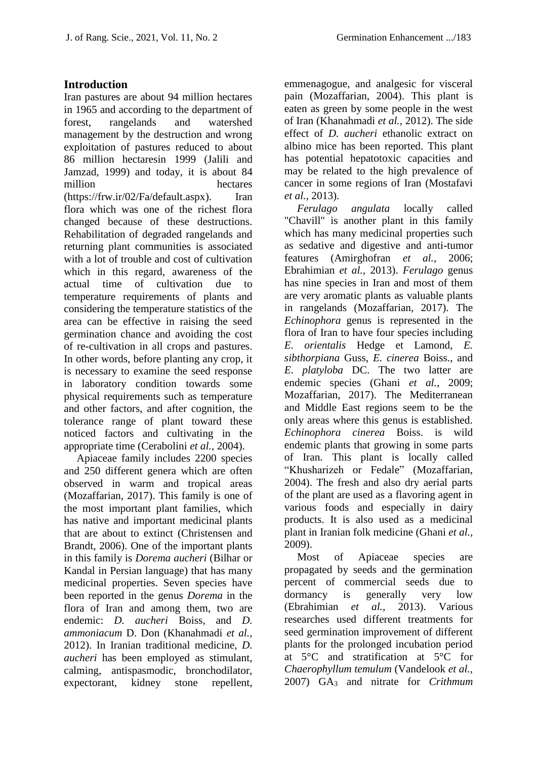#### **Introduction**

Iran pastures are about 94 million hectares in 1965 and according to the department of forest, rangelands and watershed management by the destruction and wrong exploitation of pastures reduced to about 86 million hectaresin 1999 (Jalili and Jamzad, 1999) and today, it is about 84 million hectares [\(https://frw.ir/02/Fa/default.aspx\)](https://frw.ir/02/Fa/default.aspx). Iran flora which was one of the richest flora changed because of these destructions. Rehabilitation of degraded rangelands and returning plant communities is associated with a lot of trouble and cost of cultivation which in this regard, awareness of the actual time of cultivation due to temperature requirements of plants and considering the temperature statistics of the area can be effective in raising the seed germination chance and avoiding the cost of re-cultivation in all crops and pastures. In other words, before planting any crop, it is necessary to examine the seed response in laboratory condition towards some physical requirements such as temperature and other factors, and after cognition, the tolerance range of plant toward these noticed factors and cultivating in the appropriate time (Cerabolini *et al.,* 2004).

Apiaceae family includes 2200 species and 250 different genera which are often observed in warm and tropical areas (Mozaffarian, 2017). This family is one of the most important plant families, which has native and important medicinal plants that are about to extinct (Christensen and Brandt, 2006). One of the important plants in this family is *Dorema aucheri* (Bilhar or Kandal in Persian language) that has many medicinal properties. Seven species have been reported in the genus *Dorema* in the flora of Iran and among them, two are endemic: *D. aucheri* Boiss, and *D. ammoniacum* D. Don (Khanahmadi *et al.,* 2012). In Iranian traditional medicine, *D. aucheri* has been employed as stimulant, calming, antispasmodic, bronchodilator, expectorant, kidney stone repellent, emmenagogue, and analgesic for visceral pain (Mozaffarian, 2004). This plant is eaten as green by some people in the west of Iran (Khanahmadi *et al.,* 2012). The side effect of *D. aucheri* ethanolic extract on albino mice has been reported. This plant has potential hepatotoxic capacities and may be related to the high prevalence of cancer in some regions of Iran (Mostafavi *et al.,* 2013).

*Ferulago angulata* locally called "Chavill" is another plant in this family which has many medicinal properties such as sedative and digestive and anti-tumor features (Amirghofran *et al.,* 2006; Ebrahimian *et al.,* 2013). *Ferulago* genus has nine species in Iran and most of them are very aromatic plants as valuable plants in rangelands (Mozaffarian, 2017). The *Echinophora* genus is represented in the flora of Iran to have four species including *E. orientalis* Hedge et Lamond, *E. sibthorpiana* Guss, *E. cinerea* Boiss., and *E. platyloba* DC. The two latter are endemic species (Ghani *et al.,* 2009; Mozaffarian, 2017). The Mediterranean and Middle East regions seem to be the only areas where this genus is established. *Echinophora cinerea* Boiss. is wild endemic plants that growing in some parts of Iran. This plant is locally called "Khusharizeh or Fedale" (Mozaffarian, 2004). The fresh and also dry aerial parts of the plant are used as a flavoring agent in various foods and especially in dairy products. It is also used as a medicinal plant in Iranian folk medicine (Ghani *et al.,* 2009).

Most of Apiaceae species are propagated by seeds and the germination percent of commercial seeds due to dormancy is generally very low (Ebrahimian *et al.,* 2013). Various researches used different treatments for seed germination improvement of different plants for the prolonged incubation period at 5°C and stratification at 5°C for *Chaerophyllum temulum* (Vandelook *et al.,* 2007) GA<sup>3</sup> and nitrate for *Crithmum*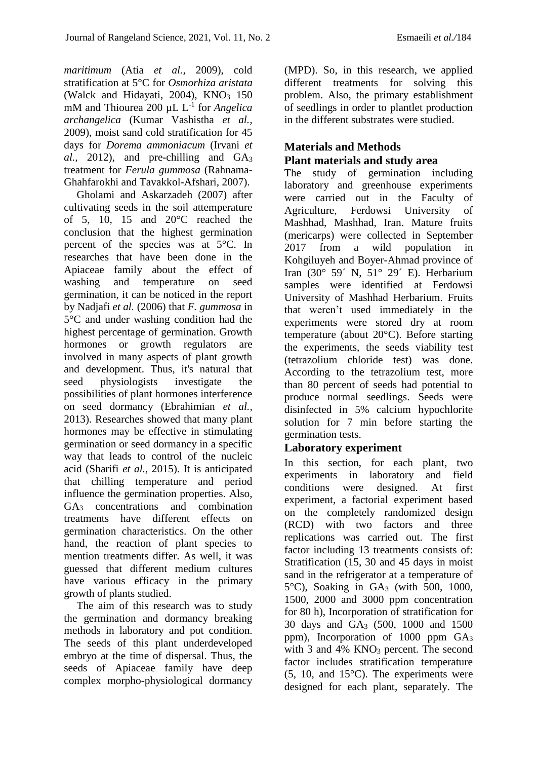*maritimum* (Atia *et al.,* 2009), cold stratification at 5°C for *Osmorhiza aristata* (Walck and Hidayati,  $2004$ ), KNO<sub>3</sub> 150 mM and Thiourea 200 µL L<sup>-1</sup> for *Angelica archangelica* (Kumar Vashistha *et al.,* 2009), moist sand cold stratification for 45 days for *Dorema ammoniacum* (Irvani *et al.,* 2012), and pre-chilling and GA<sup>3</sup> treatment for *Ferula gummosa* (Rahnama-Ghahfarokhi and Tavakkol-Afshari, 2007).

Gholami and Askarzadeh (2007) after cultivating seeds in the soil attemperature of 5, 10, 15 and 20°C reached the conclusion that the highest germination percent of the species was at 5°C. In researches that have been done in the Apiaceae family about the effect of washing and temperature on seed germination, it can be noticed in the report by Nadjafi *et al.* (2006) that *F. gummosa* in 5°C and under washing condition had the highest percentage of germination. Growth hormones or growth regulators are involved in many aspects of plant growth and development. Thus, it's natural that seed physiologists investigate the possibilities of plant hormones interference on seed dormancy (Ebrahimian *et al.,* 2013). Researches showed that many plant hormones may be effective in stimulating germination or seed dormancy in a specific way that leads to control of the nucleic acid (Sharifi *et al.,* 2015). It is anticipated that chilling temperature and period influence the germination properties. Also, GA<sup>3</sup> concentrations and combination treatments have different effects on germination characteristics. On the other hand, the reaction of plant species to mention treatments differ. As well, it was guessed that different medium cultures have various efficacy in the primary growth of plants studied.

The aim of this research was to study the germination and dormancy breaking methods in laboratory and pot condition. The seeds of this plant underdeveloped embryo at the time of dispersal. Thus, the seeds of Apiaceae family have deep complex morpho-physiological dormancy (MPD). So, in this research, we applied different treatments for solving this problem. Also, the primary establishment of seedlings in order to plantlet production in the different substrates were studied.

### **Materials and Methods Plant materials and study area**

The study of germination including laboratory and greenhouse experiments were carried out in the Faculty of Agriculture, Ferdowsi University of Mashhad, Mashhad, Iran. Mature fruits (mericarps) were collected in September 2017 from a wild population in Kohgiluyeh and Boyer-Ahmad province of Iran (30° 59´ N, 51° 29´ E). Herbarium samples were identified at Ferdowsi University of Mashhad Herbarium. Fruits that weren't used immediately in the experiments were stored dry at room temperature (about 20°C). Before starting the experiments, the seeds viability test (tetrazolium chloride test) was done. According to the tetrazolium test, more than 80 percent of seeds had potential to produce normal seedlings. Seeds were disinfected in 5% calcium hypochlorite solution for 7 min before starting the germination tests.

### **Laboratory experiment**

In this section, for each plant, two experiments in laboratory and field conditions were designed. At first experiment, a factorial experiment based on the completely randomized design (RCD) with two factors and three replications was carried out. The first factor including 13 treatments consists of: Stratification (15, 30 and 45 days in moist sand in the refrigerator at a temperature of 5°C), Soaking in GA<sup>3</sup> (with 500, 1000, 1500, 2000 and 3000 ppm concentration for 80 h), Incorporation of stratification for 30 days and GA<sup>3</sup> (500, 1000 and 1500 ppm), Incorporation of 1000 ppm GA<sup>3</sup> with 3 and  $4\%$  KNO<sub>3</sub> percent. The second factor includes stratification temperature  $(5, 10, \text{ and } 15^{\circ}\text{C})$ . The experiments were designed for each plant, separately. The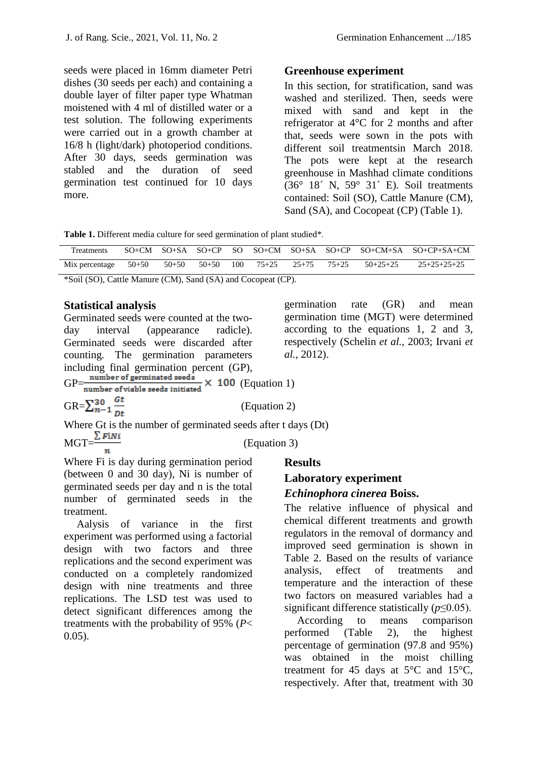seeds were placed in 16mm diameter Petri dishes (30 seeds per each) and containing a double layer of filter paper type Whatman moistened with 4 ml of distilled water or a test solution. The following experiments were carried out in a growth chamber at 16/8 h (light/dark) photoperiod conditions. After 30 days, seeds germination was stabled and the duration of seed germination test continued for 10 days more.

#### **Greenhouse experiment**

In this section, for stratification, sand was washed and sterilized. Then, seeds were mixed with sand and kept in the refrigerator at 4°C for 2 months and after that, seeds were sown in the pots with different soil treatmentsin March 2018. The pots were kept at the research greenhouse in Mashhad climate conditions (36° 18´ N, 59° 31´ E). Soil treatments contained: Soil (SO), Cattle Manure (CM), Sand (SA), and Cocopeat (CP) (Table 1).

germination rate (GR) and mean germination time (MGT) were determined according to the equations 1, 2 and 3, respectively (Schelin *et al.,* 2003; Irvani *et* 

**Table 1.** Different media culture for seed germination of plant studied\**.* 

| Treatments             |           |       |                |                 |            | SO <sub>t</sub> CM SO <sub>t</sub> SA SO <sub>t</sub> CP SO SO <sub>t</sub> CM SO <sub>t</sub> SA SO <sub>t</sub> CP SO <sub>t</sub> CM <sub>tS</sub> A SO <sub>t</sub> CP <sub>tSA</sub> +CM |
|------------------------|-----------|-------|----------------|-----------------|------------|-----------------------------------------------------------------------------------------------------------------------------------------------------------------------------------------------|
| Mix percentage $50+50$ | $50 + 50$ | 50+50 | $100 \t 75+25$ | $25+75$ $75+25$ | $50+25+25$ | 25+25+25+25                                                                                                                                                                                   |

\*Soil (SO), Cattle Manure (CM), Sand (SA) and Cocopeat (CP).

#### **Statistical analysis**

Germinated seeds were counted at the twoday interval (appearance radicle). Germinated seeds were discarded after counting. The germination parameters including final germination percent (GP),<br>GP= $\frac{\text{number of germinated seeds}}{100}$ GE CONSIDERING A SERVICE OF VIOLET OF VIOLET SPEAKING A 100 (Equation 1)

GR= $\sum_{n=1}^{30} \frac{gt}{Dt}$  (Equation 2)

Where Gt is the number of germinated seeds after t days (Dt) MGT $=\frac{\sum FN_i}{n}$  (Equation 3)

Where Fi is day during germination period (between 0 and 30 day), Ni is number of germinated seeds per day and n is the total number of germinated seeds in the treatment.

Aalysis of variance in the first experiment was performed using a factorial design with two factors and three replications and the second experiment was conducted on a completely randomized design with nine treatments and three replications. The LSD test was used to detect significant differences among the treatments with the probability of 95% (*P*< 0.05).

#### **Results**

*al.,* 2012).

# **Laboratory experiment**

## *Echinophora cinerea* **Boiss.**

The relative influence of physical and chemical different treatments and growth regulators in the removal of dormancy and improved seed germination is shown in Table 2. Based on the results of variance analysis, effect of treatments and temperature and the interaction of these two factors on measured variables had a significant difference statistically (*p*≤0.05).

According to means comparison performed (Table 2), the highest percentage of germination (97.8 and 95%) was obtained in the moist chilling treatment for 45 days at  $5^{\circ}$ C and  $15^{\circ}$ C, respectively. After that, treatment with 30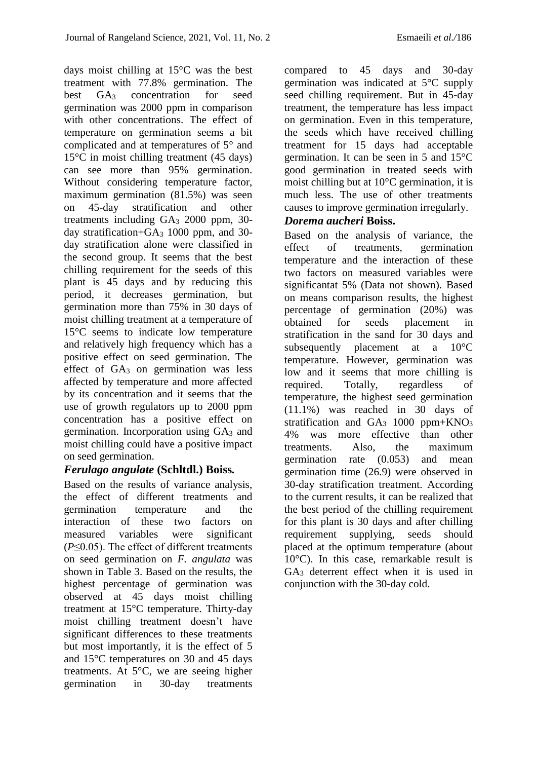days moist chilling at 15°C was the best treatment with 77.8% germination. The best GA<sup>3</sup> concentration for seed germination was 2000 ppm in comparison with other concentrations. The effect of temperature on germination seems a bit complicated and at temperatures of 5° and 15°C in moist chilling treatment (45 days) can see more than 95% germination. Without considering temperature factor, maximum germination (81.5%) was seen on 45-day stratification and other treatments including GA<sub>3</sub> 2000 ppm, 30day stratification+GA<sup>3</sup> 1000 ppm, and 30 day stratification alone were classified in the second group. It seems that the best chilling requirement for the seeds of this plant is 45 days and by reducing this period, it decreases germination, but germination more than 75% in 30 days of moist chilling treatment at a temperature of 15°C seems to indicate low temperature and relatively high frequency which has a positive effect on seed germination. The effect of  $GA_3$  on germination was less affected by temperature and more affected by its concentration and it seems that the use of growth regulators up to 2000 ppm concentration has a positive effect on germination. Incorporation using GA<sup>3</sup> and moist chilling could have a positive impact on seed germination.

#### *Ferulago angulate* **(Schltdl.) Boiss***.*

Based on the results of variance analysis, the effect of different treatments and germination temperature and the interaction of these two factors on measured variables were significant (*P*≤0.05). The effect of different treatments on seed germination on *F. angulata* was shown in Table 3. Based on the results, the highest percentage of germination was observed at 45 days moist chilling treatment at 15°C temperature. Thirty-day moist chilling treatment doesn't have significant differences to these treatments but most importantly, it is the effect of 5 and 15°C temperatures on 30 and 45 days treatments. At 5°C, we are seeing higher germination in 30-day treatments

compared to 45 days and 30-day germination was indicated at 5°C supply seed chilling requirement. But in 45-day treatment, the temperature has less impact on germination. Even in this temperature, the seeds which have received chilling treatment for 15 days had acceptable germination. It can be seen in 5 and 15°C good germination in treated seeds with moist chilling but at 10°C germination, it is much less. The use of other treatments causes to improve germination irregularly.

#### *Dorema aucheri* **Boiss.**

Based on the analysis of variance, the effect of treatments, germination temperature and the interaction of these two factors on measured variables were significantat 5% (Data not shown). Based on means comparison results, the highest percentage of germination (20%) was obtained for seeds placement in stratification in the sand for 30 days and subsequently placement at a 10°C temperature. However, germination was low and it seems that more chilling is required. Totally, regardless of temperature, the highest seed germination (11.1%) was reached in 30 days of stratification and  $GA_3$  1000 ppm+KNO<sub>3</sub> 4% was more effective than other treatments. Also, the maximum germination rate (0.053) and mean germination time (26.9) were observed in 30-day stratification treatment. According to the current results, it can be realized that the best period of the chilling requirement for this plant is 30 days and after chilling requirement supplying, seeds should placed at the optimum temperature (about 10°C). In this case, remarkable result is GA<sup>3</sup> deterrent effect when it is used in conjunction with the 30-day cold.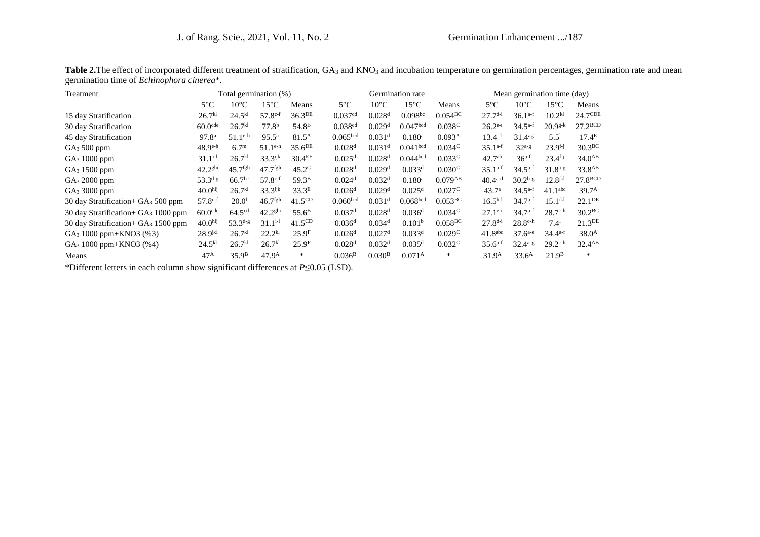| Treatment                                        |                       | Total germination (%) |                       |                    |                      | Germination rate     |                      |                       |                     | Mean germination time (day) |                       |                    |  |
|--------------------------------------------------|-----------------------|-----------------------|-----------------------|--------------------|----------------------|----------------------|----------------------|-----------------------|---------------------|-----------------------------|-----------------------|--------------------|--|
|                                                  | $5^{\circ}$ C         | $10^{\circ}$ C        | $15^{\circ}$ C        | Means              | $5^{\circ}$ C        | $10^{\circ}$ C       | $15^{\circ}$ C       | Means                 | $5^{\circ}$ C       | $10^{\circ}$ C              | 15°C                  | Means              |  |
| 15 day Stratification                            | 26.7 <sup>kl</sup>    | $24.5^{kl}$           | $57.8c-f$             | 36.3DE             | 0.037 <sup>cd</sup>  | 0.028 <sup>d</sup>   | $0.098^{bc}$         | $0.054\overline{BC}$  | $27.7d-i$           | $36.1^{a-f}$                | $10.2^{kl}$           | $24.7$ CDE         |  |
| 30 day Stratification                            | $60.0$ <sup>cde</sup> | 26.7 <sup>kl</sup>    | 77.8 <sup>b</sup>     | 54.8 <sup>B</sup>  | 0.038 <sup>cd</sup>  | 0.029 <sup>d</sup>   | 0.047 <sup>bcd</sup> | 0.038C                | $26.2^{e-i}$        | $34.5^{a-f}$                | $20.9^{g-k}$          | $27.2^{BCD}$       |  |
| 45 day Stratification                            | 97.8 <sup>a</sup>     | $51.1^{\text{e-h}}$   | $95.5^{\rm a}$        | $81.5^{\rm A}$     | 0.065 <sup>bcd</sup> | $0.031$ <sup>d</sup> | $0.180$ <sup>a</sup> | 0.093 <sup>A</sup>    | $13.4^{i-1}$        | $31.4^{ag}$                 | 5.5 <sup>1</sup>      | 17.4 <sup>E</sup>  |  |
| GA <sub>3</sub> 500 ppm                          | $48.9e^{-h}$          | 6.7 <sup>m</sup>      | $51.1^{\text{e-h}}$   | 35.6 <sup>DE</sup> | 0.028 <sup>d</sup>   | $0.031$ <sup>d</sup> | 0.041 <sup>bcd</sup> | $0.034^{\circ}$       | $35.1^{a-f}$        | $32^{a-g}$                  | $23.9^{f-j}$          | 30.3 <sup>BC</sup> |  |
| GA <sub>3</sub> 1000 ppm                         | $31.1^{i-1}$          | 26.7 <sup>kl</sup>    | $33.3$ ijk            | 30.4 <sup>EF</sup> | 0.025 <sup>d</sup>   | 0.028 <sup>d</sup>   | 0.044 <sup>bcd</sup> | $0.033^{\circ}$       | $42.7^{ab}$         | $36^{a-f}$                  | $23.4$ <sup>f-j</sup> | $34.0^{AB}$        |  |
| GA <sub>3</sub> 1500 ppm                         | 42.2 <sup>ghi</sup>   | $45.7$ <sup>fgh</sup> | $47.7$ <sup>fgh</sup> | $45.2^{\circ}$     | 0.028 <sup>d</sup>   | 0.029 <sup>d</sup>   | 0.033 <sup>d</sup>   | $0.030^{\circ}$       | $35.1^{a-f}$        | $34.5^{a-f}$                | $31.8^{a-g}$          | 33.8 <sup>AB</sup> |  |
| GA <sub>3</sub> 2000 ppm                         | $53.3^{d-g}$          | 66.7 <sup>bc</sup>    | $57.8^{c-f}$          | 59.3 <sup>B</sup>  | $0.024$ <sup>d</sup> | 0.032 <sup>d</sup>   | $0.180$ <sup>a</sup> | $0.079^{AB}$          | $40.4^{a-d}$        | $30.2^{b-g}$                | $12.8$ <sup>jkl</sup> | $27.8^{BCD}$       |  |
| GA <sub>3</sub> 3000 ppm                         | 40.0 <sup>hij</sup>   | 26.7 <sup>kl</sup>    | $33.3$ ijk            | 33.3 <sup>E</sup>  | 0.026 <sup>d</sup>   | 0.029 <sup>d</sup>   | 0.025 <sup>d</sup>   | 0.027 <sup>C</sup>    | 43.7 <sup>a</sup>   | $34.5^{a-f}$                | 41.1 <sup>abc</sup>   | 39.7 <sup>A</sup>  |  |
| 30 day Stratification+ GA <sub>3</sub> 500 ppm   | $57.8^{c-f}$          | 20.0 <sup>1</sup>     | $46.7$ <sup>fgh</sup> | 41.5 <sup>CD</sup> | 0.060 <sup>bcd</sup> | $0.031$ <sup>d</sup> | 0.068 <sup>bcd</sup> | $0.053^{\text{BC}}$   | $16.5h-1$           | $34.7^{a-f}$                | 15.1 <sup>ikl</sup>   | 22.1 <sup>DE</sup> |  |
| 30 day Stratification + $GA_3$ 1000 ppm          | $60.0$ <sup>cde</sup> | 64.5 <sup>cd</sup>    | 42.2 <sup>ghi</sup>   | $55.6^{\rm B}$     | $0.037$ <sup>d</sup> | 0.028 <sup>d</sup>   | $0.036$ <sup>d</sup> | $0.034^{\circ}$       | $27.1e^{-i}$        | $34.7^{a-f}$                | $28.7^{\text{c-h}}$   | 30.2 <sup>BC</sup> |  |
| 30 day Stratification + GA <sub>3</sub> 1500 ppm | 40.0 <sup>hij</sup>   | $53.3^{d-g}$          | $31.1^{i-1}$          | 41.5 <sup>CD</sup> | 0.036 <sup>d</sup>   | $0.034$ <sup>d</sup> | 0.101 <sup>b</sup>   | $0.058$ <sup>BC</sup> | $27.8^{d-i}$        | $28.8c$ -h                  | $7.4^{1}$             | 21.3 <sup>DE</sup> |  |
| GA <sub>3</sub> 1000 ppm+KNO3 (%3)               | $28.9$ <sup>jkl</sup> | 26.7 <sup>kl</sup>    | $22.2^{kl}$           | 25.9 <sup>F</sup>  | 0.026 <sup>d</sup>   | 0.027 <sup>d</sup>   | 0.033 <sup>d</sup>   | 0.029C                | 41.8 <sup>abc</sup> | $37.6^{a-e}$                | $34.4^{a-f}$          | 38.0 <sup>A</sup>  |  |
| GA <sub>3</sub> 1000 ppm+KNO3 (%4)               | $24.5^{kl}$           | 26.7 <sup>kl</sup>    | 26.7 <sup>kl</sup>    | 25.9 <sup>F</sup>  | 0.028 <sup>d</sup>   | 0.032 <sup>d</sup>   | $0.035$ <sup>d</sup> | 0.032 <sup>C</sup>    | $35.6^{a-f}$        | $32.4^{a-g}$                | $29.2^{\text{c-h}}$   | 32.4 <sup>AB</sup> |  |
| Means                                            | $47^{\rm A}$          | 35.9 <sup>B</sup>     | 47.9 <sup>A</sup>     | *                  | $0.036^{\rm B}$      | 0.030 <sup>B</sup>   | 0.071 <sup>A</sup>   | $\ast$                | 31.9 <sup>A</sup>   | 33.6 <sup>A</sup>           | 21.9 <sup>B</sup>     | $\ast$             |  |

Table 2. The effect of incorporated different treatment of stratification, GA<sub>3</sub> and KNO<sub>3</sub> and incubation temperature on germination percentages, germination rate and mean germination time of *Echinophora cinerea*\*.

\*Different letters in each column show significant differences at *P*≤0.05 (LSD).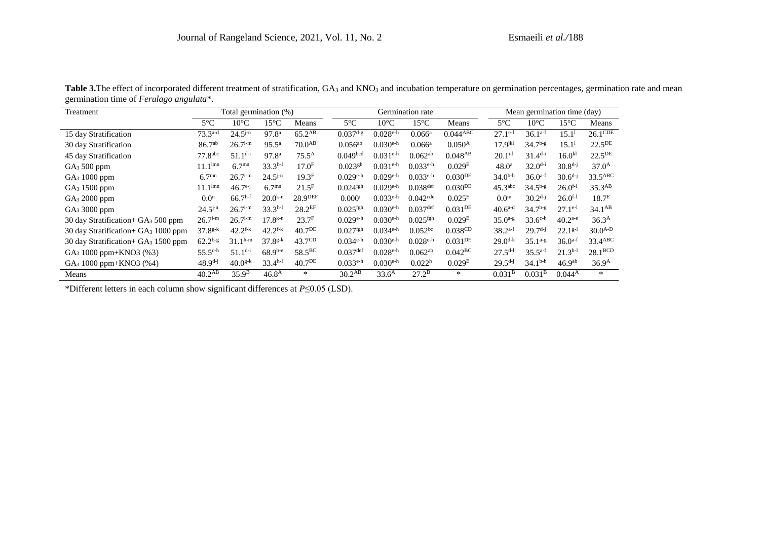| Treatment                                        | Total germination (%) |                   |                       | Germination rate    |                        |                        |                        | Mean germination time (day) |                       |                |                    |                    |
|--------------------------------------------------|-----------------------|-------------------|-----------------------|---------------------|------------------------|------------------------|------------------------|-----------------------------|-----------------------|----------------|--------------------|--------------------|
|                                                  | $5^{\circ}$ C         | $10^{\circ}$ C    | $15^{\circ}$ C        | Means               | $5^{\circ}$ C          | $10^{\circ}$ C         | $15^{\circ}$ C         | Means                       | $5^{\circ}$ C         | $10^{\circ}$ C | $15^{\circ}$ C     | Means              |
| 15 day Stratification                            | $73.3^{a-d}$          | $24.5^{j-n}$      | 97.8 <sup>a</sup>     | 65.2 <sup>AB</sup>  | $0.037$ d-g            | $0.028e$ -h            | $0.066^a$              | $0.04\overline{4^{ABC}}$    | $27.1$ <sup>e-1</sup> | $36.1^{a-f}$   | 15.1 <sup>1</sup>  | $26.1$ CDE         |
| 30 day Stratification                            | 86.7 <sup>ab</sup>    | $26.7i-m$         | $95.5^{\rm a}$        | 70.0 <sup>AB</sup>  | $0.056^{ab}$           | $0.030e$ <sup>-h</sup> | $0.066^a$              | $0.050^{A}$                 | $17.9^{jkl}$          | $34.7^{b-g}$   | 15.1 <sup>1</sup>  | 22.5 <sup>DE</sup> |
| 45 day Stratification                            | $77.8$ <sup>abc</sup> | $51.1^{d-i}$      | 97.8 <sup>a</sup>     | $75.5^{\rm A}$      | 0.049 <sup>bcd</sup>   | $0.031^{\text{e-h}}$   | $0.062^{ab}$           | $0.048^{AB}$                | $20.1^{i-1}$          | $31.4^{d-i}$   | $16.0^{kl}$        | 22.5 <sup>DE</sup> |
| $GA_3 500$ ppm                                   | $11.1^{lmn}$          | 6.7 <sup>mn</sup> | $33.3h-1$             | 17.0 <sup>F</sup>   | $0.023$ <sup>gh</sup>  | $0.031^{\text{e-h}}$   | $0.033e$ -h            | 0.029 <sup>E</sup>          | 48.0 <sup>a</sup>     | $32.0^{d-i}$   | $30.8^{d-j}$       | 37.0 <sup>A</sup>  |
| GA <sub>3</sub> 1000 ppm                         | 6.7 <sup>mn</sup>     | $26.7i-m$         | $24.5^{j-n}$          | 19.3 <sup>F</sup>   | $0.029e$ <sup>-h</sup> | $0.029e$ <sup>-h</sup> | $0.033e$ -h            | $0.030^{DE}$                | $34.0^{b-h}$          | $36.0^{a-f}$   | $30.6^{d-j}$       | 33.5ABC            |
| GA <sub>3</sub> 1500 ppm                         | $11.1^{lmn}$          | $46.7^{e-j}$      | 6.7 <sup>mn</sup>     | $21.5$ <sup>F</sup> | $0.024$ <sup>fgh</sup> | $0.029e$ -h            | $0.038$ def            | $0.030^{DE}$                | 45.3 <sup>abc</sup>   | $34.5^{b-g}$   | $26.0^{f-1}$       | 35.3 <sup>AB</sup> |
| GA <sub>3</sub> 2000 ppm                         | 0.0 <sup>n</sup>      | $66.7^{b-f}$      | $20.0^{k-n}$          | 28.9DEF             | $0.000^{i}$            | $0.033e$ -h            | $0.042$ <sup>cde</sup> | 0.025 <sup>E</sup>          | 0.0 <sup>m</sup>      | $30.2^{d-j}$   | $26.0^{f-1}$       | 18.7 <sup>E</sup>  |
| GA <sub>3</sub> 3000 ppm                         | $24.5^{j-n}$          | $26.7i-m$         | $33.3h-1$             | 28.2 <sup>EF</sup>  | $0.025$ <sup>fgh</sup> | $0.030e$ <sup>-h</sup> | $0.037$ def            | $0.031$ <sup>DE</sup>       | $40.6^{a-d}$          | $34.7^{b-g}$   | $27.1^{e-1}$       | $34.1^{AB}$        |
| 30 day Stratification + GA <sub>3</sub> 500 ppm  | $26.7i-m$             | $26.7i-m$         | $17.8^{k-n}$          | 23.7 <sup>F</sup>   | $0.029e$ <sup>-h</sup> | $0.030e$ <sup>-h</sup> | $0.025$ <sup>fgh</sup> | 0.029 <sup>E</sup>          | $35.0^{a-g}$          | $33.6^{c-h}$   | $40.2^{a-e}$       | 36.3 <sup>A</sup>  |
| 30 day Stratification + GA <sub>3</sub> 1000 ppm | $37.8^{g-k}$          | $42.2^{f-k}$      | $42.2$ <sup>f-k</sup> | 40.7 <sup>DE</sup>  | 0.027 <sup>fgh</sup>   | $0.034^{\text{e-h}}$   | $0.052^{bc}$           | $0.038$ CD                  | $38.2^{a-f}$          | $29.7d-j$      | $22.1^{g-1}$       | $30.0^{A-D}$       |
| 30 day Stratification + $GA_3$ 1500 ppm          | $62.2^{b-g}$          | $31.1^{h-m}$      | $37.8^{g-k}$          | 43.7 <sup>CD</sup>  | $0.034^{\text{e-h}}$   | $0.030e$ <sup>-h</sup> | $0.028e$ -h            | $0.031$ <sup>DE</sup>       | $29.0^{d-k}$          | $35.1^{a-g}$   | $36.0^{a-f}$       | 33.4ABC            |
| GA <sub>3</sub> 1000 ppm+KNO3 (%3)               | $55.5^{c-h}$          | $51.1^{d-i}$      | $68.9^{b-e}$          | 58.5 <sup>BC</sup>  | $0.037$ def            | $0.028e$ <sup>-h</sup> | $0.062^{ab}$           | 0.042 <sup>BC</sup>         | $27.5^{d-l}$          | $35.5^{a-f}$   | $21.3h-1$          | $28.1^{BCD}$       |
| $GA_3 1000$ ppm+KNO3 (%4)                        | $48.9^{d-j}$          | $40.0^{g-k}$      | $33.4h-1$             | 40.7 <sup>DE</sup>  | $0.033e$ -h            | $0.030e$ <sup>-h</sup> | 0.022 <sup>h</sup>     | 0.029 <sup>E</sup>          | $29.5^{d-j}$          | $34.1^{b-h}$   | 46.9 <sup>ab</sup> | 36.9 <sup>A</sup>  |
| Means                                            | 40.2 <sup>AB</sup>    | 35.9 <sup>B</sup> | 46.8 <sup>A</sup>     | $\ast$              | 30.2 <sup>AB</sup>     | 33.6 <sup>A</sup>      | $27.2^{\rm B}$         | $\ast$                      | 0.031 <sup>B</sup>    | $0.031^{B}$    | 0.044 <sup>A</sup> | *                  |

Table 3. The effect of incorporated different treatment of stratification, GA<sub>3</sub> and KNO<sub>3</sub> and incubation temperature on germination percentages, germination rate and mean germination time of *Ferulago angulata*\*.

\*Different letters in each column show significant differences at *P*≤0.05 (LSD).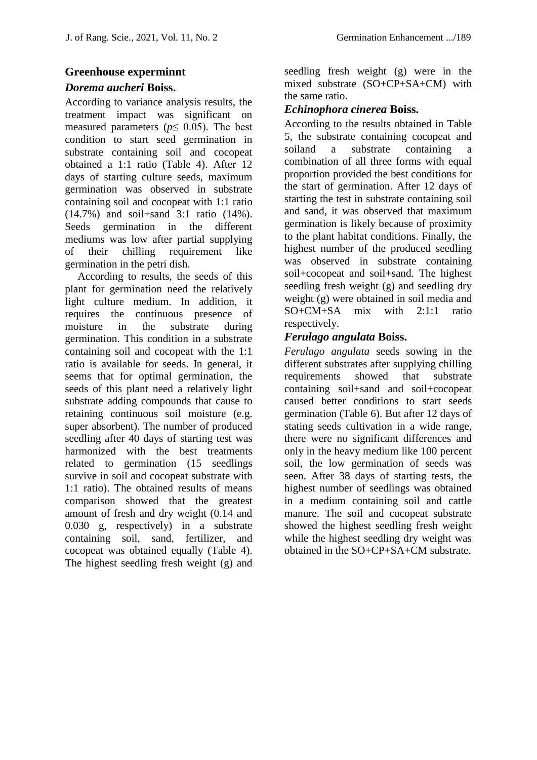#### **Greenhouse experminnt**

#### *Dorema aucheri* **Boiss.**

According to variance analysis results, the treatment impact was significant on measured parameters ( $p \leq 0.05$ ). The best condition to start seed germination in substrate containing soil and cocopeat obtained a 1:1 ratio (Table 4). After 12 days of starting culture seeds, maximum germination was observed in substrate containing soil and cocopeat with 1:1 ratio (14.7%) and soil+sand 3:1 ratio (14%). Seeds germination in the different mediums was low after partial supplying of their chilling requirement like germination in the petri dish.

According to results, the seeds of this plant for germination need the relatively light culture medium. In addition, it requires the continuous presence of moisture in the substrate during germination. This condition in a substrate containing soil and cocopeat with the 1:1 ratio is available for seeds. In general, it seems that for optimal germination, the seeds of this plant need a relatively light substrate adding compounds that cause to retaining continuous soil moisture (e.g. super absorbent). The number of produced seedling after 40 days of starting test was harmonized with the best treatments related to germination (15 seedlings survive in soil and cocopeat substrate with 1:1 ratio). The obtained results of means comparison showed that the greatest amount of fresh and dry weight (0.14 and 0.030 g, respectively) in a substrate containing soil, sand, fertilizer, and cocopeat was obtained equally (Table 4). The highest seedling fresh weight (g) and

seedling fresh weight (g) were in the mixed substrate (SO+CP+SA+CM) with the same ratio.

#### *Echinophora cinerea* **Boiss.**

According to the results obtained in Table 5, the substrate containing cocopeat and soiland a substrate containing a combination of all three forms with equal proportion provided the best conditions for the start of germination. After 12 days of starting the test in substrate containing soil and sand, it was observed that maximum germination is likely because of proximity to the plant habitat conditions. Finally, the highest number of the produced seedling was observed in substrate containing soil+cocopeat and soil+sand. The highest seedling fresh weight (g) and seedling dry weight (g) were obtained in soil media and SO+CM+SA mix with 2:1:1 ratio respectively.

#### *Ferulago angulata* **Boiss.**

*Ferulago angulata* seeds sowing in the different substrates after supplying chilling requirements showed that substrate containing soil+sand and soil+cocopeat caused better conditions to start seeds germination (Table 6). But after 12 days of stating seeds cultivation in a wide range, there were no significant differences and only in the heavy medium like 100 percent soil, the low germination of seeds was seen. After 38 days of starting tests, the highest number of seedlings was obtained in a medium containing soil and cattle manure. The soil and cocopeat substrate showed the highest seedling fresh weight while the highest seedling dry weight was obtained in the SO+CP+SA+CM substrate.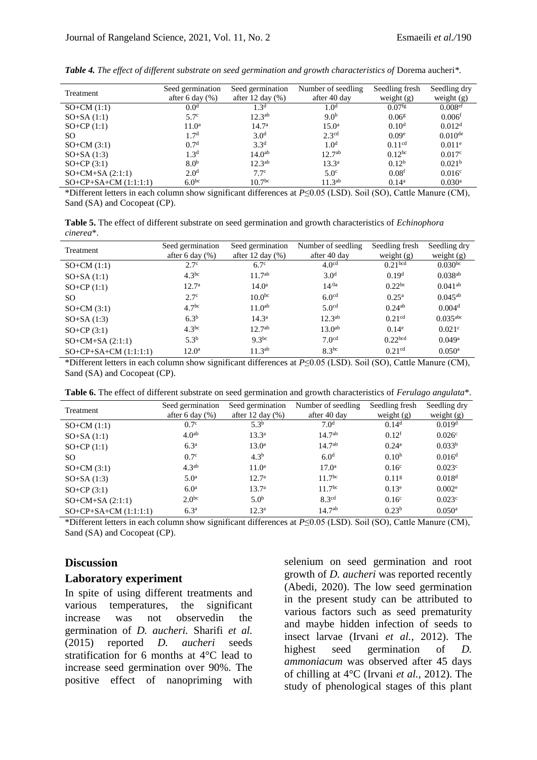| Treatment               | Seed germination   | Seed germination     | Number of seedling | Seedling fresh       | Seedling dry         |
|-------------------------|--------------------|----------------------|--------------------|----------------------|----------------------|
|                         | after 6 day $(\%)$ | after 12 day $(\% )$ | after 40 day       | weight $(g)$         | weight $(g)$         |
| $SO+CM(1:1)$            | 0.0 <sup>d</sup>   | 1.3 <sup>d</sup>     | 1.0 <sup>d</sup>   | $0.07$ <sup>fg</sup> | 0.008 <sup>ef</sup>  |
| $SO+SA(1:1)$            | 5.7 <sup>c</sup>   | $12.3^{ab}$          | 9.0 <sup>b</sup>   | 0.06 <sup>g</sup>    | 0.006 <sup>f</sup>   |
| $SO+CP(1:1)$            | $11.0^a$           | 14.7 <sup>a</sup>    | $15.0^{\rm a}$     | 0.10 <sup>d</sup>    | 0.012 <sup>d</sup>   |
| SO.                     | 1.7 <sup>d</sup>   | 3.0 <sup>d</sup>     | 2.3 <sup>cd</sup>  | 0.09 <sup>e</sup>    | $0.010^{de}$         |
| $SO+CM(3:1)$            | 0.7 <sup>d</sup>   | 3.3 <sup>d</sup>     | 1.0 <sup>d</sup>   | 0.11 <sup>cd</sup>   | $0.011$ <sup>e</sup> |
| $SO+SA(1:3)$            | 1.3 <sup>d</sup>   | 14.0 <sup>ab</sup>   | $12.7^{ab}$        | $0.12^{bc}$          | 0.017c               |
| $SO+CP(3:1)$            | 8.0 <sup>b</sup>   | $12.3^{ab}$          | $13.3^a$           | 0.12 <sup>b</sup>    | 0.021 <sup>b</sup>   |
| $SO+CM+SA(2:1:1)$       | 2.0 <sup>d</sup>   | 7.7 <sup>c</sup>     | 5.0 <sup>c</sup>   | 0.08 <sup>f</sup>    | 0.016 <sup>c</sup>   |
| $SO+CP+SA+CM$ (1:1:1:1) | 6.0 <sup>bc</sup>  | 10.7 <sup>bc</sup>   | $11.3^{ab}$        | 0.14 <sup>a</sup>    | $0.030$ <sup>a</sup> |

*Table 4. The effect of different substrate on seed germination and growth characteristics of* Dorema aucheri*\*.*

\*Different letters in each column show significant differences at *P*≤0.05 (LSD). Soil (SO), Cattle Manure (CM), Sand (SA) and Cocopeat (CP).

**Table 5.** The effect of different substrate on seed germination and growth characteristics of *Echinophora cinerea*\*.

| Treatment                 | Seed germination   | Seed germination    | Number of seedling | Seedling fresh      | Seedling dry           |
|---------------------------|--------------------|---------------------|--------------------|---------------------|------------------------|
|                           | after 6 day $(\%)$ | after 12 day $(\%)$ | after 40 day       | weight $(g)$        | weight $(g)$           |
| $SO+CM(1:1)$              | 2.7 <sup>c</sup>   | $6.7^\circ$         | 4.0 <sup>cd</sup>  | 0.21 <sup>bcd</sup> | $0.030^{bc}$           |
| $SO+SA(1:1)$              | $4.3^{bc}$         | $11.7^{ab}$         | 3.0 <sup>d</sup>   | 0.19 <sup>d</sup>   | $0.038^{ab}$           |
| $SO+CP(1:1)$              | 12.7 <sup>a</sup>  | $14.0^{\rm a}$      | $14^{.0a}$         | $0.22^{bc}$         | $0.041^{ab}$           |
| SO.                       | 2.7 <sup>c</sup>   | 10.0 <sup>bc</sup>  | 6.0 <sup>cd</sup>  | $0.25^{\rm a}$      | $0.045^{ab}$           |
| $SO+CM(3:1)$              | 4.7 <sup>bc</sup>  | $11.0^{ab}$         | 5.0 <sup>cd</sup>  | $0.24^{ab}$         | 0.004 <sup>d</sup>     |
| $SO+SA(1:3)$              | 6.3 <sup>b</sup>   | $14.3^{\rm a}$      | $12.3^{ab}$        | 0.21 <sup>cd</sup>  | $0.035$ <sup>abc</sup> |
| $SO+CP(3:1)$              | $4.3^{bc}$         | $12.7^{ab}$         | 13.0 <sup>ab</sup> | $0.14^e$            | 0.021c                 |
| $SO+CM+SA(2:1:1)$         | $5.3^{b}$          | $9.3^{bc}$          | 7.0 <sup>cd</sup>  | 0.22 <sub>bcd</sub> | $0.049$ <sup>a</sup>   |
| $SO+CP+SA+CM$ $(1:1:1:1)$ | $12.0^{\rm a}$     | $11.3^{ab}$         | $8.3^{bc}$         | 0.21 <sup>cd</sup>  | $0.050$ <sup>a</sup>   |

\*Different letters in each column show significant differences at *P*≤0.05 (LSD). Soil (SO), Cattle Manure (CM), Sand (SA) and Cocopeat (CP).

| Table 6. The effect of different substrate on seed germination and growth characteristics of Ferulago angulata*. |  |  |  |
|------------------------------------------------------------------------------------------------------------------|--|--|--|
|------------------------------------------------------------------------------------------------------------------|--|--|--|

|                           | Seed germination    | Seed germination    | Number of seedling | Seedling fresh    | Seedling dry         |
|---------------------------|---------------------|---------------------|--------------------|-------------------|----------------------|
| Treatment                 | after 6 day $(\% )$ | after 12 day $(\%)$ | after 40 day       | weight $(g)$      | weight $(g)$         |
| $SO+CM(1:1)$              | 0.7 <sup>c</sup>    | $5.3^{b}$           | 7.0 <sup>d</sup>   | 0.14 <sup>d</sup> | 0.019 <sup>d</sup>   |
| $SO+SA(1:1)$              | 4.0 <sup>ab</sup>   | $13.3^{\rm a}$      | $14.7^{ab}$        | 0.12 <sup>f</sup> | 0.026c               |
| $SO+CP(1:1)$              | 6.3 <sup>a</sup>    | $13.0^{\rm a}$      | $14.7^{ab}$        | 0.24 <sup>a</sup> | 0.033 <sup>b</sup>   |
| SO.                       | 0.7 <sup>c</sup>    | 4.3 <sup>b</sup>    | 6.0 <sup>d</sup>   | 0.10 <sup>h</sup> | 0.016 <sup>d</sup>   |
| $SO+CM(3:1)$              | 4.3 <sup>ab</sup>   | $11.0^a$            | 17.0 <sup>a</sup>  | 0.16 <sup>c</sup> | 0.023c               |
| $SO+SA(1:3)$              | 5.0 <sup>a</sup>    | 12.7 <sup>a</sup>   | 11.7 <sup>bc</sup> | 0.11 <sup>g</sup> | 0.018 <sup>d</sup>   |
| $SO+CP(3:1)$              | 6.0 <sup>a</sup>    | 13.7 <sup>a</sup>   | 11.7 <sup>bc</sup> | $0.13^e$          | 0.002 <sup>e</sup>   |
| $SO+CM+SA(2:1:1)$         | $2.0^{bc}$          | 5.0 <sup>b</sup>    | 8.3 <sup>cd</sup>  | 0.16 <sup>c</sup> | 0.023c               |
| $SO+CP+SA+CM$ $(1:1:1:1)$ | 6.3 <sup>a</sup>    | $12.3^{\rm a}$      | $14.7^{ab}$        | 0.23 <sup>b</sup> | $0.050$ <sup>a</sup> |

\*Different letters in each column show significant differences at *P*≤0.05 (LSD). Soil (SO), Cattle Manure (CM), Sand (SA) and Cocopeat (CP).

#### **Discussion**

#### **Laboratory experiment**

In spite of using different treatments and various temperatures, the significant increase was not observedin the germination of *D. aucheri.* Sharifi *et al.* (2015) reported *D. aucheri* seeds stratification for 6 months at 4°C lead to increase seed germination over 90%. The positive effect of nanopriming with

selenium on seed germination and root growth of *D. aucheri* was reported recently (Abedi, 2020). The low seed germination in the present study can be attributed to various factors such as seed prematurity and maybe hidden infection of seeds to insect larvae (Irvani *et al.*, 2012). The highest seed germination of *D. ammoniacum* was observed after 45 days of chilling at 4°C (Irvani *et al.,* 2012). The study of phenological stages of this plant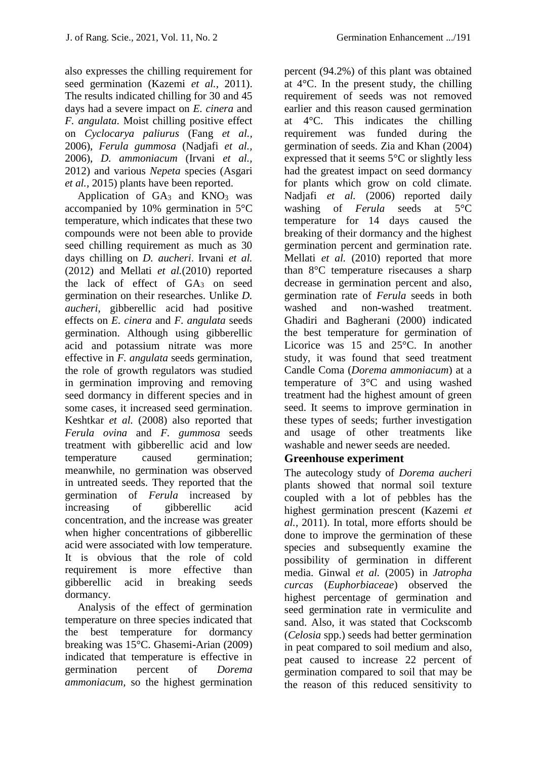also expresses the chilling requirement for seed germination (Kazemi *et al.,* 2011). The results indicated chilling for 30 and 45 days had a severe impact on *E. cinera* and *F. angulata*. Moist chilling positive effect on *Cyclocarya paliurus* (Fang *et al.,* 2006), *Ferula gummosa* (Nadjafi *et al.,* 2006), *D. ammoniacum* (Irvani *et al.,* 2012) and various *Nepeta* species (Asgari *et al.,* 2015) plants have been reported.

Application of  $GA_3$  and  $KNO_3$  was accompanied by 10% germination in 5°C temperature, which indicates that these two compounds were not been able to provide seed chilling requirement as much as 30 days chilling on *D. aucheri*. Irvani *et al.*  (2012) and Mellati *et al.*(2010) reported the lack of effect of  $GA_3$  on seed germination on their researches. Unlike *D. aucheri*, gibberellic acid had positive effects on *E. cinera* and *F. angulata* seeds germination. Although using gibberellic acid and potassium nitrate was more effective in *F. angulata* seeds germination, the role of growth regulators was studied in germination improving and removing seed dormancy in different species and in some cases, it increased seed germination. Keshtkar *et al.* (2008) also reported that *Ferula ovina* and *F. gummosa* seeds treatment with gibberellic acid and low temperature caused germination; meanwhile, no germination was observed in untreated seeds. They reported that the germination of *Ferula* increased by increasing of gibberellic acid concentration, and the increase was greater when higher concentrations of gibberellic acid were associated with low temperature. It is obvious that the role of cold requirement is more effective than gibberellic acid in breaking seeds dormancy.

Analysis of the effect of germination temperature on three species indicated that the best temperature for dormancy breaking was 15°C. Ghasemi-Arian (2009) indicated that temperature is effective in germination percent of *Dorema ammoniacum,* so the highest germination

percent (94.2%) of this plant was obtained at  $4^{\circ}$ C. In the present study, the chilling requirement of seeds was not removed earlier and this reason caused germination at 4°C. This indicates the chilling requirement was funded during the germination of seeds. Zia and Khan (2004) expressed that it seems 5°C or slightly less had the greatest impact on seed dormancy for plants which grow on cold climate. Nadjafi *et al.* (2006) reported daily washing of *Ferula* seeds at 5°C temperature for 14 days caused the breaking of their dormancy and the highest germination percent and germination rate. Mellati *et al.* (2010) reported that more than 8°C temperature risecauses a sharp decrease in germination percent and also, germination rate of *Ferula* seeds in both washed and non-washed treatment. Ghadiri and Bagherani (2000) indicated the best temperature for germination of Licorice was 15 and 25°C. In another study, it was found that seed treatment Candle Coma (*Dorema ammoniacum*) at a temperature of 3°C and using washed treatment had the highest amount of green seed. It seems to improve germination in these types of seeds; further investigation and usage of other treatments like washable and newer seeds are needed.

#### **Greenhouse experiment**

The autecology study of *Dorema aucheri*  plants showed that normal soil texture coupled with a lot of pebbles has the highest germination prescent (Kazemi *et al.,* 2011). In total, more efforts should be done to improve the germination of these species and subsequently examine the possibility of germination in different media. Ginwal *et al.* (2005) in *Jatropha curcas* (*Euphorbiaceae*) observed the highest percentage of germination and seed germination rate in vermiculite and sand. Also, it was stated that Cockscomb (*Celosia* spp.) seeds had better germination in peat compared to soil medium and also, peat caused to increase 22 percent of germination compared to soil that may be the reason of this reduced sensitivity to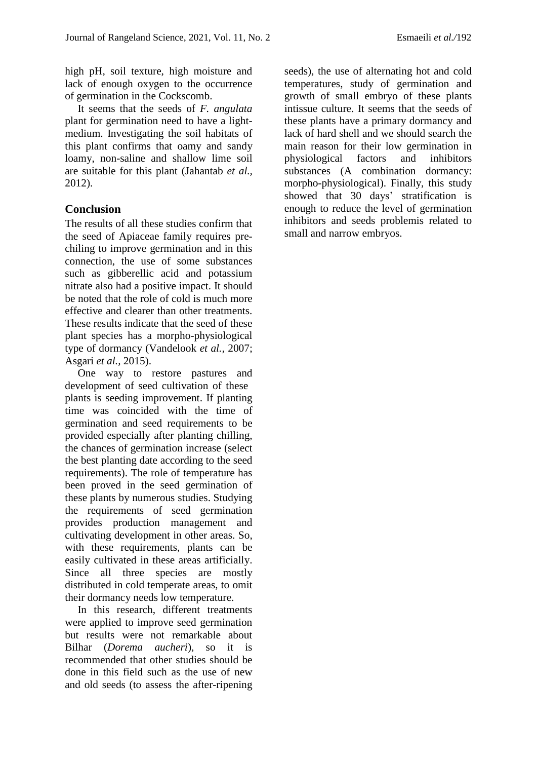high pH, soil texture, high moisture and lack of enough oxygen to the occurrence of germination in the Cockscomb.

It seems that the seeds of *F. angulata*  plant for germination need to have a lightmedium. Investigating the soil habitats of this plant confirms that oamy and sandy loamy, non-saline and shallow lime soil are suitable for this plant (Jahantab *et al.,* 2012).

#### **Conclusion**

The results of all these studies confirm that the seed of Apiaceae family requires prechiling to improve germination and in this connection, the use of some substances such as gibberellic acid and potassium nitrate also had a positive impact. It should be noted that the role of cold is much more effective and clearer than other treatments. These results indicate that the seed of these plant species has a morpho-physiological type of dormancy (Vandelook *et al.,* 2007; Asgari *et al.,* 2015).

One way to restore pastures and development of seed cultivation of these plants is seeding improvement. If planting time was coincided with the time of germination and seed requirements to be provided especially after planting chilling, the chances of germination increase (select the best planting date according to the seed requirements). The role of temperature has been proved in the seed germination of these plants by numerous studies. Studying the requirements of seed germination provides production management and cultivating development in other areas. So, with these requirements, plants can be easily cultivated in these areas artificially. Since all three species are mostly distributed in cold temperate areas, to omit their dormancy needs low temperature.

In this research, different treatments were applied to improve seed germination but results were not remarkable about Bilhar (*Dorema aucheri*), so it is recommended that other studies should be done in this field such as the use of new and old seeds (to assess the after-ripening seeds), the use of alternating hot and cold temperatures, study of germination and growth of small embryo of these plants intissue culture. It seems that the seeds of these plants have a primary dormancy and lack of hard shell and we should search the main reason for their low germination in physiological factors and inhibitors substances (A combination dormancy: morpho-physiological). Finally, this study showed that 30 days' stratification is enough to reduce the level of germination inhibitors and seeds problemis related to small and narrow embryos.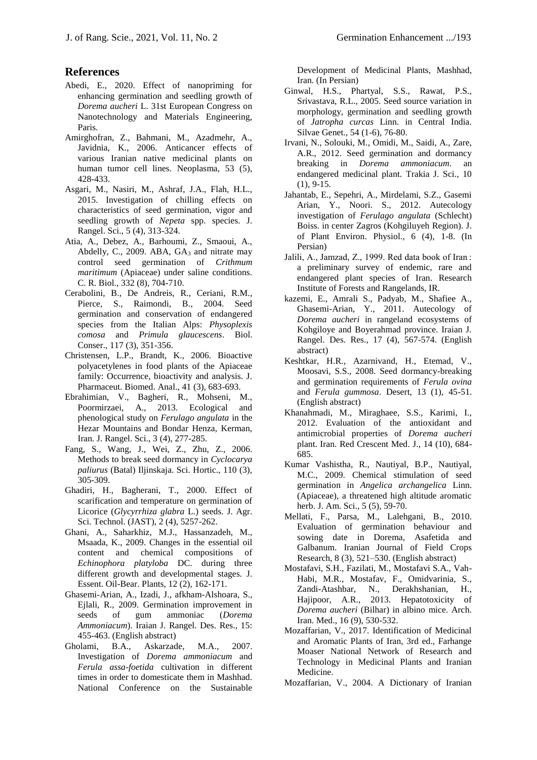#### **References**

- Abedi, E., 2020. Effect of nanopriming for enhancing germination and seedling growth of *Dorema aucheri* L. 31st European Congress on Nanotechnology and Materials Engineering, Paris.
- Amirghofran, Z., Bahmani, M., Azadmehr, A., Javidnia, K., 2006. Anticancer effects of various Iranian native medicinal plants on human tumor cell lines. Neoplasma, 53 (5), 428-433.
- Asgari, M., Nasiri, M., Ashraf, J.A., Flah, H.L., 2015. Investigation of chilling effects on characteristics of seed germination, vigor and seedling growth of *Nepeta* spp. species. J. Rangel. Sci., 5 (4), 313-324.
- Atia, A., Debez, A., Barhoumi, Z., Smaoui, A., Abdelly, C., 2009. ABA, GA<sup>3</sup> and nitrate may control seed germination of *Crithmum maritimum* (Apiaceae) under saline conditions. C. R. Biol., 332 (8), 704-710.
- Cerabolini, B., De Andreis, R., Ceriani, R.M., Pierce, S., Raimondi, B., 2004. Seed germination and conservation of endangered species from the Italian Alps: *Physoplexis comosa* and *Primula glaucescens*. Biol. Conser., 117 (3), 351-356.
- Christensen, L.P., Brandt, K., 2006. Bioactive polyacetylenes in food plants of the Apiaceae family: Occurrence, bioactivity and analysis. J. Pharmaceut. Biomed. Anal., 41 (3), 683-693.
- Ebrahimian, V., Bagheri, R., Mohseni, M., Poormirzaei, A., 2013. Ecological and phenological study on *Ferulago angulata* in the Hezar Mountains and Bondar Henza, Kerman, Iran. J. Rangel. Sci., 3 (4), 277-285.
- Fang, S., Wang, J., Wei, Z., Zhu, Z., 2006. Methods to break seed dormancy in *Cyclocarya paliurus* (Batal) Iljinskaja. Sci. Hortic., 110 (3), 305-309.
- Ghadiri, H., Bagherani, T., 2000. Effect of scarification and temperature on germination of Licorice (*Glycyrrhiza glabra* L.) seeds. J. Agr. Sci. Technol. (JAST), 2 (4), 5257-262.
- Ghani, A., Saharkhiz, M.J., Hassanzadeh, M., Msaada, K., 2009. Changes in the essential oil content and chemical compositions of *Echinophora platyloba* DC. during three different growth and developmental stages. J. Essent. Oil-Bear. Plants, 12 (2), 162-171.
- Ghasemi-Arian, A., Izadi, J., afkham-Alshoara, S., Ejlali, R., 2009. Germination improvement in seeds of gum ammoniac (*Dorema Ammoniacum*). Iraian J. Rangel. Des. Res., 15: 455-463. (English abstract)
- Gholami, B.A., Askarzade, M.A., 2007. Investigation of *Dorema ammoniacum* and *Ferula assa-foetida* cultivation in different times in order to domesticate them in Mashhad. National Conference on the Sustainable

Development of Medicinal Plants, Mashhad, Iran. (In Persian)

- Ginwal, H.S., Phartyal, S.S., Rawat, P.S., Srivastava, R.L., 2005. Seed source variation in morphology, germination and seedling growth of *Jatropha curcas* Linn. in Central India. Silvae Genet., 54 (1-6), 76-80.
- Irvani, N., Solouki, M., Omidi, M., Saidi, A., Zare, A.R., 2012. Seed germination and dormancy breaking in *Dorema ammoniacum*. an endangered medicinal plant. Trakia J. Sci., 10 (1), 9-15.
- Jahantab, E., Sepehri, A., Mirdelami, S.Z., Gasemi Arian, Y., Noori. S., 2012. Autecology investigation of *Ferulago angulata* (Schlecht) Boiss. in center Zagros (Kohgiluyeh Region). J. of Plant Environ. Physiol., 6 (4), 1-8. (In Persian)
- Jalili, A., Jamzad, Z., 1999. Red data book of Iran : a preliminary survey of endemic, rare and endangered plant species of Iran. Research Institute of Forests and Rangelands, IR.
- kazemi, E., Amrali S., Padyab, M., Shafiee A., Ghasemi-Arian, Y., 2011. Autecology of *Dorema aucheri* in rangeland ecosystems of Kohgiloye and Boyerahmad province. Iraian J. Rangel. Des. Res., 17 (4), 567-574. (English abstract)
- Keshtkar, H.R., Azarnivand, H., Etemad, V., Moosavi, S.S., 2008. Seed dormancy-breaking and germination requirements of *Ferula ovina* and *Ferula gummosa*. Desert, 13 (1), 45-51. (English abstract)
- Khanahmadi, M., Miraghaee, S.S., Karimi, I., 2012. Evaluation of the antioxidant and antimicrobial properties of *Dorema aucheri* plant. Iran. Red Crescent Med. J., 14 (10), 684- 685.
- Kumar Vashistha, R., Nautiyal, B.P., Nautiyal, M.C., 2009. Chemical stimulation of seed germination in *Angelica archangelica* Linn. (Apiaceae), a threatened high altitude aromatic herb. J. Am. Sci., 5 (5), 59-70.
- Mellati, F., Parsa, M., Lalehgani, B., 2010. Evaluation of germination behaviour and sowing date in Dorema, Asafetida and Galbanum. Iranian Journal of Field Crops Research, 8 (3), 521–530. (English abstract)
- Mostafavi, S.H., Fazilati, M., Mostafavi S.A., Vah-Habi, M.R., Mostafav, F., Omidvarinia, S., Zandi-Atashbar, N., Derakhshanian, H., Hajipoor, A.R., 2013. Hepatotoxicity of *Dorema aucheri* (Bilhar) in albino mice. Arch. Iran. Med., 16 (9), 530-532.
- Mozaffarian, V., 2017. Identification of Medicinal and Aromatic Plants of Iran, 3rd ed., Farhange Moaser National Network of Research and Technology in Medicinal Plants and Iranian Medicine.
- Mozaffarian, V., 2004. A Dictionary of Iranian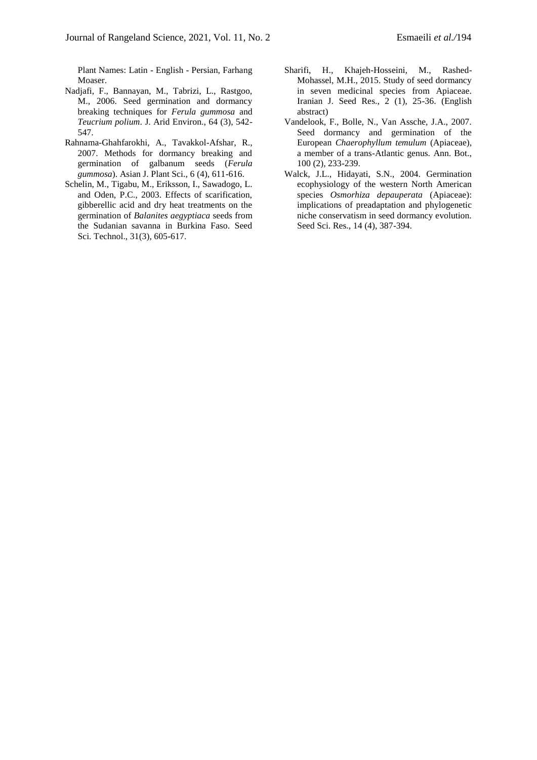Plant Names: Latin - English - Persian, Farhang Moaser.

- Nadjafi, F., Bannayan, M., Tabrizi, L., Rastgoo, M., 2006. Seed germination and dormancy breaking techniques for *Ferula gummosa* and *Teucrium polium*. J. Arid Environ., 64 (3), 542- 547.
- Rahnama-Ghahfarokhi, A., Tavakkol-Afshar, R., 2007. Methods for dormancy breaking and germination of galbanum seeds (*Ferula gummosa*). Asian J. Plant Sci., 6 (4), 611-616.
- Schelin, M., Tigabu, M., Eriksson, I., Sawadogo, L. and Oden, P.C., 2003. Effects of scarification, gibberellic acid and dry heat treatments on the germination of *Balanites aegyptiaca* seeds from the Sudanian savanna in Burkina Faso. Seed Sci. Technol., 31(3), 605-617.
- Sharifi, H., Khajeh-Hosseini, M., Rashed-Mohassel, M.H., 2015. Study of seed dormancy in seven medicinal species from Apiaceae. Iranian J. Seed Res., 2 (1), 25-36. (English abstract)
- Vandelook, F., Bolle, N., Van Assche, J.A., 2007. Seed dormancy and germination of the European *Chaerophyllum temulum* (Apiaceae), a member of a trans-Atlantic genus. Ann. Bot., 100 (2), 233-239.
- Walck, J.L., Hidayati, S.N., 2004. Germination ecophysiology of the western North American species *Osmorhiza depauperata* (Apiaceae): implications of preadaptation and phylogenetic niche conservatism in seed dormancy evolution. Seed Sci. Res., 14 (4), 387-394.